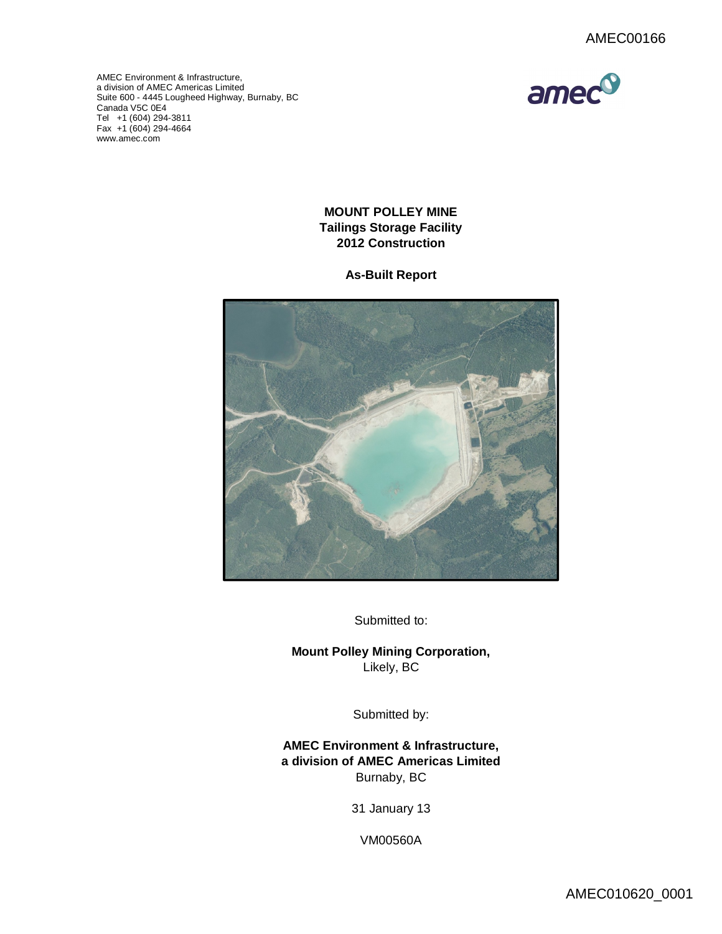

AMEC Environment & Infrastructure, a division of AMEC Americas Limited Suite 600 - 4445 Lougheed Highway, Burnaby, BC [Canada V5C 0](http://www.amec.com)E4 Tel +1 (604) 294-3811 Fax +1 (604) 294-4664 www.amec.com

# **MOUNT POLLEY MINE Tailings Storage Facility 2012 Construction**

## **As-Built Report**



Submitted to:

**Mount Polley Mining Corporation,** Likely, BC

Submitted by:

**AMEC Environment & Infrastructure, a division of AMEC Americas Limited** Burnaby, BC

31 January 13

VM00560A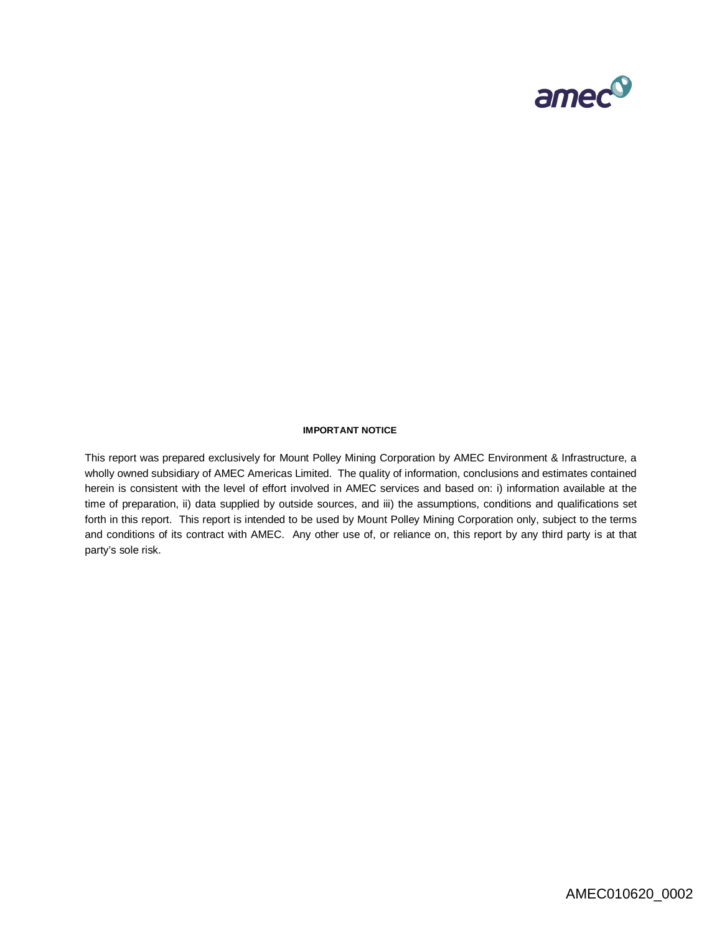

#### **IMPORTANT NOTICE**

This report was prepared exclusively for Mount Polley Mining Corporation by AMEC Environment & Infrastructure, a wholly owned subsidiary of AMEC Americas Limited. The quality of information, conclusions and estimates contained herein is consistent with the level of effort involved in AMEC services and based on: i) information available at the time of preparation, ii) data supplied by outside sources, and iii) the assumptions, conditions and qualifications set forth in this report. This report is intended to be used by Mount Polley Mining Corporation only, subject to the terms and conditions of its contract with AMEC. Any other use of, or reliance on, this report by any third party is at that party's sole risk.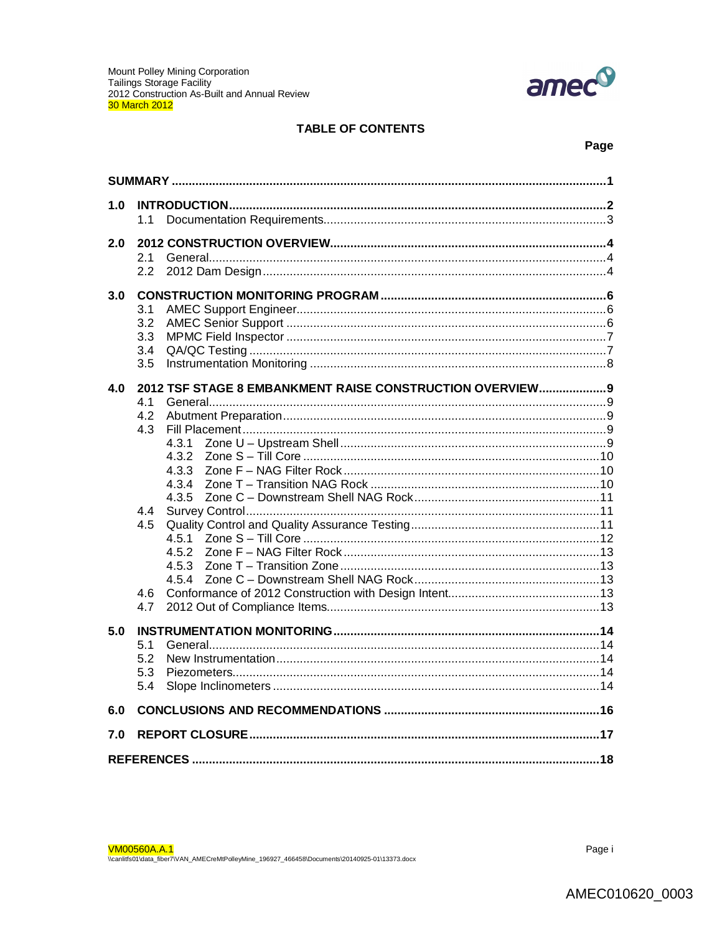

## **TABLE OF CONTENTS**

## Page

| 1.0 | 1.1                                                                                                                                                                                         |  |  |  |  |  |
|-----|---------------------------------------------------------------------------------------------------------------------------------------------------------------------------------------------|--|--|--|--|--|
| 2.0 | 2.1<br>2.2                                                                                                                                                                                  |  |  |  |  |  |
| 3.0 | 3.1<br>3.2<br>3.3<br>3.4<br>3.5                                                                                                                                                             |  |  |  |  |  |
| 4.0 | 2012 TSF STAGE 8 EMBANKMENT RAISE CONSTRUCTION OVERVIEW 9<br>4.1<br>4.2<br>4.3<br>4.3.1<br>4.3.2<br>4.3.3<br>4.3.4<br>4.3.5<br>4.4<br>4.5<br>4.5.1<br>4.5.2<br>4.5.3<br>4.5.4<br>4.6<br>4.7 |  |  |  |  |  |
| 5.0 | 5.1<br>5.2<br>5.3<br>5.4                                                                                                                                                                    |  |  |  |  |  |
| 6.0 |                                                                                                                                                                                             |  |  |  |  |  |
| 7.0 |                                                                                                                                                                                             |  |  |  |  |  |
|     |                                                                                                                                                                                             |  |  |  |  |  |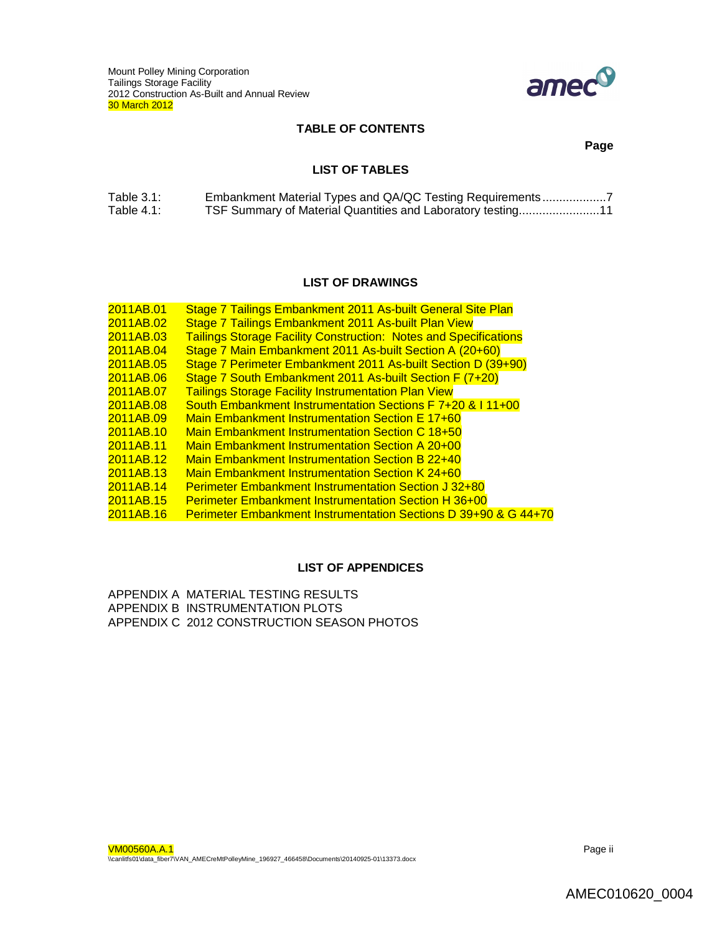

### **TABLE OF CONTENTS**

**Page**

## **LIST OF TABLES**

| Table $3.1$ : | Embankment Material Types and QA/QC Testing Requirements    |
|---------------|-------------------------------------------------------------|
| Table $4.1$ : | TSF Summary of Material Quantities and Laboratory testing11 |

## **LIST OF DRAWINGS**

| 2011AB.01 | Stage 7 Tailings Embankment 2011 As-built General Site Plan                |
|-----------|----------------------------------------------------------------------------|
| 2011AB.02 | Stage 7 Tailings Embankment 2011 As-built Plan View                        |
| 2011AB.03 | <b>Tailings Storage Facility Construction: Notes and Specifications</b>    |
| 2011AB.04 | Stage 7 Main Embankment 2011 As-built Section A (20+60)                    |
| 2011AB.05 | Stage 7 Perimeter Embankment 2011 As-built Section D (39+90)               |
| 2011AB.06 | Stage 7 South Embankment 2011 As-built Section F (7+20)                    |
| 2011AB.07 | <b>Tailings Storage Facility Instrumentation Plan View</b>                 |
| 2011AB.08 | South Embankment Instrumentation Sections F 7+20 & I 11+00                 |
| 2011AB.09 | <b>Main Embankment Instrumentation Section E 17+60</b>                     |
| 2011AB.10 | Main Embankment Instrumentation Section C 18+50                            |
| 2011AB.11 | <b>Main Embankment Instrumentation Section A 20+00</b>                     |
| 2011AB.12 | <b>Main Embankment Instrumentation Section B 22+40</b>                     |
| 2011AB.13 | <b>Main Embankment Instrumentation Section K 24+60</b>                     |
| 2011AB.14 | <b>Perimeter Embankment Instrumentation Section J 32+80</b>                |
| 2011AB.15 | <b>Perimeter Embankment Instrumentation Section H 36+00</b>                |
| 2011AB.16 | <b>Perimeter Embankment Instrumentation Sections D 39+90 &amp; G 44+70</b> |
|           |                                                                            |

### **LIST OF APPENDICES**

APPENDIX A MATERIAL TESTING RESULTS APPENDIX B INSTRUMENTATION PLOTS APPENDIX C 2012 CONSTRUCTION SEASON PHOTOS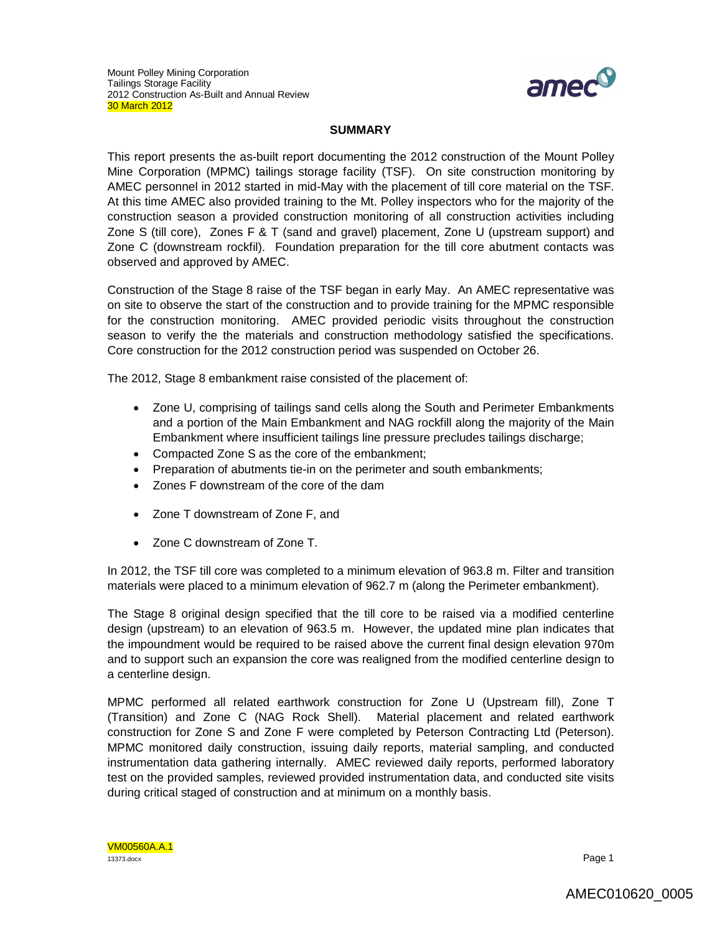

## **SUMMARY**

This report presents the as-built report documenting the 2012 construction of the Mount Polley Mine Corporation (MPMC) tailings storage facility (TSF). On site construction monitoring by AMEC personnel in 2012 started in mid-May with the placement of till core material on the TSF. At this time AMEC also provided training to the Mt. Polley inspectors who for the majority of the construction season a provided construction monitoring of all construction activities including Zone S (till core), Zones F & T (sand and gravel) placement, Zone U (upstream support) and Zone C (downstream rockfil). Foundation preparation for the till core abutment contacts was observed and approved by AMEC.

Construction of the Stage 8 raise of the TSF began in early May. An AMEC representative was on site to observe the start of the construction and to provide training for the MPMC responsible for the construction monitoring. AMEC provided periodic visits throughout the construction season to verify the the materials and construction methodology satisfied the specifications. Core construction for the 2012 construction period was suspended on October 26.

The 2012, Stage 8 embankment raise consisted of the placement of:

- Zone U, comprising of tailings sand cells along the South and Perimeter Embankments and a portion of the Main Embankment and NAG rockfill along the majority of the Main Embankment where insufficient tailings line pressure precludes tailings discharge;
- Compacted Zone S as the core of the embankment;
- Preparation of abutments tie-in on the perimeter and south embankments;
- Zones F downstream of the core of the dam
- Zone T downstream of Zone F, and
- Zone C downstream of Zone T.

In 2012, the TSF till core was completed to a minimum elevation of 963.8 m. Filter and transition materials were placed to a minimum elevation of 962.7 m (along the Perimeter embankment).

The Stage 8 original design specified that the till core to be raised via a modified centerline design (upstream) to an elevation of 963.5 m. However, the updated mine plan indicates that the impoundment would be required to be raised above the current final design elevation 970m and to support such an expansion the core was realigned from the modified centerline design to a centerline design.

MPMC performed all related earthwork construction for Zone U (Upstream fill), Zone T (Transition) and Zone C (NAG Rock Shell). Material placement and related earthwork construction for Zone S and Zone F were completed by Peterson Contracting Ltd (Peterson). MPMC monitored daily construction, issuing daily reports, material sampling, and conducted instrumentation data gathering internally. AMEC reviewed daily reports, performed laboratory test on the provided samples, reviewed provided instrumentation data, and conducted site visits during critical staged of construction and at minimum on a monthly basis.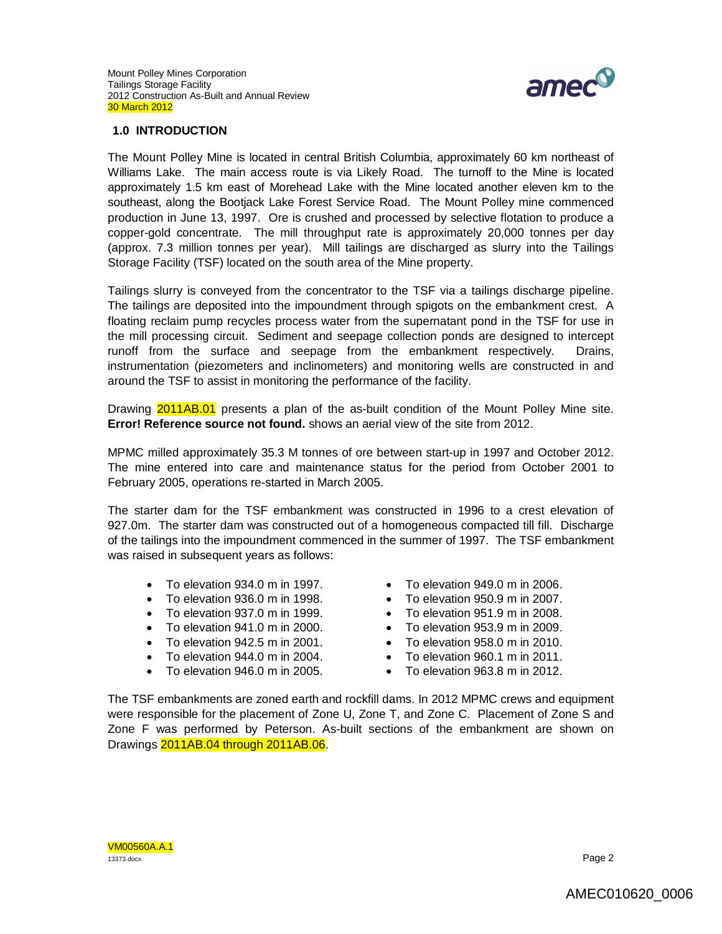

## **1.0 INTRODUCTION**

The Mount Polley Mine is located in central British Columbia, approximately 60 km northeast of Williams Lake. The main access route is via Likely Road. The turnoff to the Mine is located approximately 1.5 km east of Morehead Lake with the Mine located another eleven km to the southeast, along the Bootjack Lake Forest Service Road. The Mount Polley mine commenced production in June 13, 1997. Ore is crushed and processed by selective flotation to produce a copper-gold concentrate. The mill throughput rate is approximately 20,000 tonnes per day (approx. 7.3 million tonnes per year). Mill tailings are discharged as slurry into the Tailings Storage Facility (TSF) located on the south area of the Mine property.

Tailings slurry is conveyed from the concentrator to the TSF via a tailings discharge pipeline. The tailings are deposited into the impoundment through spigots on the embankment crest. A floating reclaim pump recycles process water from the supernatant pond in the TSF for use in the mill processing circuit. Sediment and seepage collection ponds are designed to intercept runoff from the surface and seepage from the embankment respectively. Drains, instrumentation (piezometers and inclinometers) and monitoring wells are constructed in and around the TSF to assist in monitoring the performance of the facility.

Drawing 2011AB.01 presents a plan of the as-built condition of the Mount Polley Mine site. **Error! Reference source not found.** shows an aerial view of the site from 2012.

MPMC milled approximately 35.3 M tonnes of ore between start-up in 1997 and October 2012. The mine entered into care and maintenance status for the period from October 2001 to February 2005, operations re-started in March 2005.

The starter dam for the TSF embankment was constructed in 1996 to a crest elevation of 927.0m. The starter dam was constructed out of a homogeneous compacted till fill. Discharge of the tailings into the impoundment commenced in the summer of 1997. The TSF embankment was raised in subsequent years as follows:

- To elevation 934.0 m in 1997.
- To elevation 936.0 m in 1998.
- To elevation 937.0 m in 1999.
- To elevation 941.0 m in 2000.
- To elevation 942.5 m in 2001.
- To elevation 944.0 m in 2004.
- To elevation 946.0 m in 2005.
- To elevation 949.0 m in 2006.
- $\bullet$  To elevation 950.9 m in 2007.
- $\bullet$  To elevation 951.9 m in 2008.
- To elevation 953.9 m in 2009.
- To elevation 958.0 m in 2010.
- To elevation 960.1 m in 2011.
- To elevation 963.8 m in 2012.

The TSF embankments are zoned earth and rockfill dams. In 2012 MPMC crews and equipment were responsible for the placement of Zone U, Zone T, and Zone C. Placement of Zone S and Zone F was performed by Peterson. As-built sections of the embankment are shown on Drawings 2011AB.04 through 2011AB.06.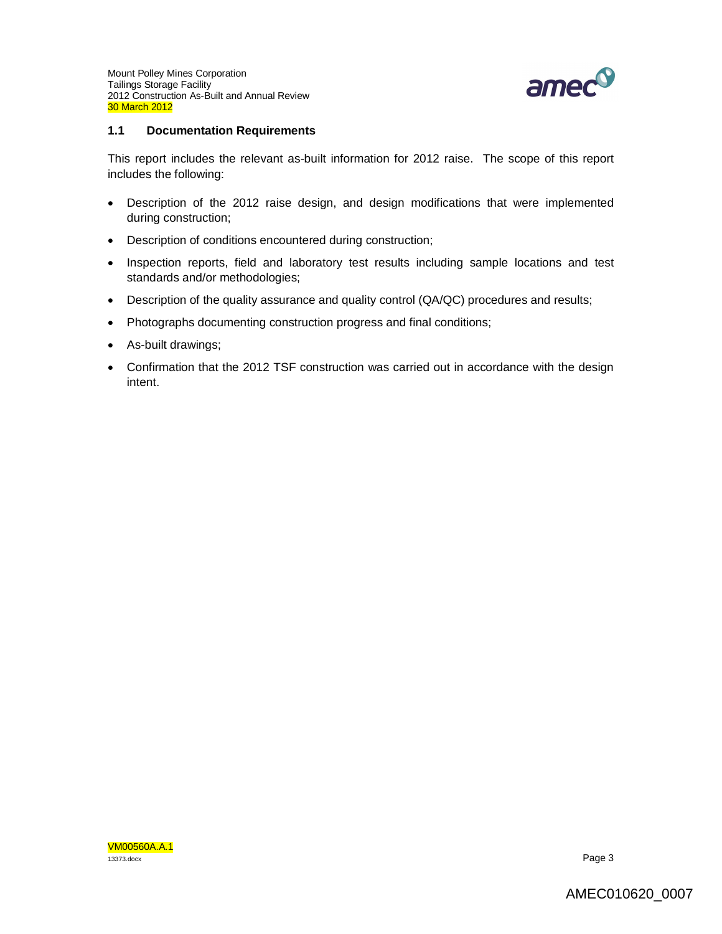

### **1.1 Documentation Requirements**

This report includes the relevant as-built information for 2012 raise. The scope of this report includes the following:

- Description of the 2012 raise design, and design modifications that were implemented during construction;
- Description of conditions encountered during construction;
- Inspection reports, field and laboratory test results including sample locations and test standards and/or methodologies;
- Description of the quality assurance and quality control (QA/QC) procedures and results;
- Photographs documenting construction progress and final conditions;
- As-built drawings;
- Confirmation that the 2012 TSF construction was carried out in accordance with the design intent.

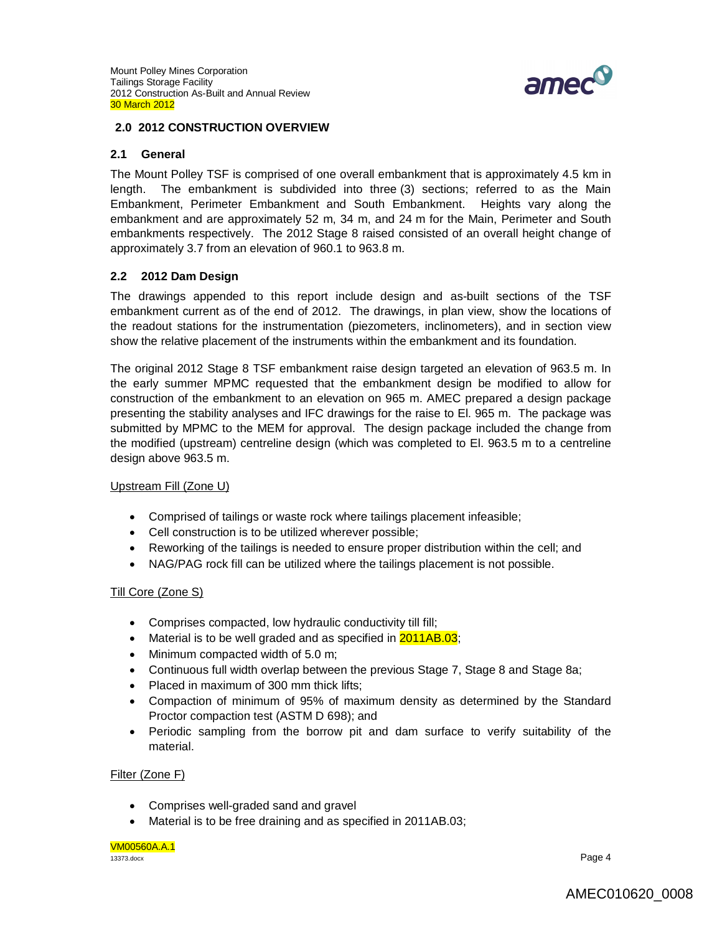

### **2.0 2012 CONSTRUCTION OVERVIEW**

### **2.1 General**

The Mount Polley TSF is comprised of one overall embankment that is approximately 4.5 km in length. The embankment is subdivided into three (3) sections; referred to as the Main Embankment, Perimeter Embankment and South Embankment. Heights vary along the embankment and are approximately 52 m, 34 m, and 24 m for the Main, Perimeter and South embankments respectively. The 2012 Stage 8 raised consisted of an overall height change of approximately 3.7 from an elevation of 960.1 to 963.8 m.

## **2.2 2012 Dam Design**

The drawings appended to this report include design and as-built sections of the TSF embankment current as of the end of 2012. The drawings, in plan view, show the locations of the readout stations for the instrumentation (piezometers, inclinometers), and in section view show the relative placement of the instruments within the embankment and its foundation.

The original 2012 Stage 8 TSF embankment raise design targeted an elevation of 963.5 m. In the early summer MPMC requested that the embankment design be modified to allow for construction of the embankment to an elevation on 965 m. AMEC prepared a design package presenting the stability analyses and IFC drawings for the raise to El. 965 m. The package was submitted by MPMC to the MEM for approval. The design package included the change from the modified (upstream) centreline design (which was completed to El. 963.5 m to a centreline design above 963.5 m.

### Upstream Fill (Zone U)

- Comprised of tailings or waste rock where tailings placement infeasible;
- Cell construction is to be utilized wherever possible;
- Reworking of the tailings is needed to ensure proper distribution within the cell; and
- NAG/PAG rock fill can be utilized where the tailings placement is not possible.

### Till Core (Zone S)

- Comprises compacted, low hydraulic conductivity till fill;
- Material is to be well graded and as specified in  $2011AB.03$ ;
- Minimum compacted width of 5.0 m;
- Continuous full width overlap between the previous Stage 7, Stage 8 and Stage 8a;
- Placed in maximum of 300 mm thick lifts;
- Compaction of minimum of 95% of maximum density as determined by the Standard Proctor compaction test (ASTM D 698); and
- Periodic sampling from the borrow pit and dam surface to verify suitability of the material.

### Filter (Zone F)

- Comprises well-graded sand and gravel
- Material is to be free draining and as specified in 2011AB.03;

#### VM00560A.A.1 13373.docx Page 4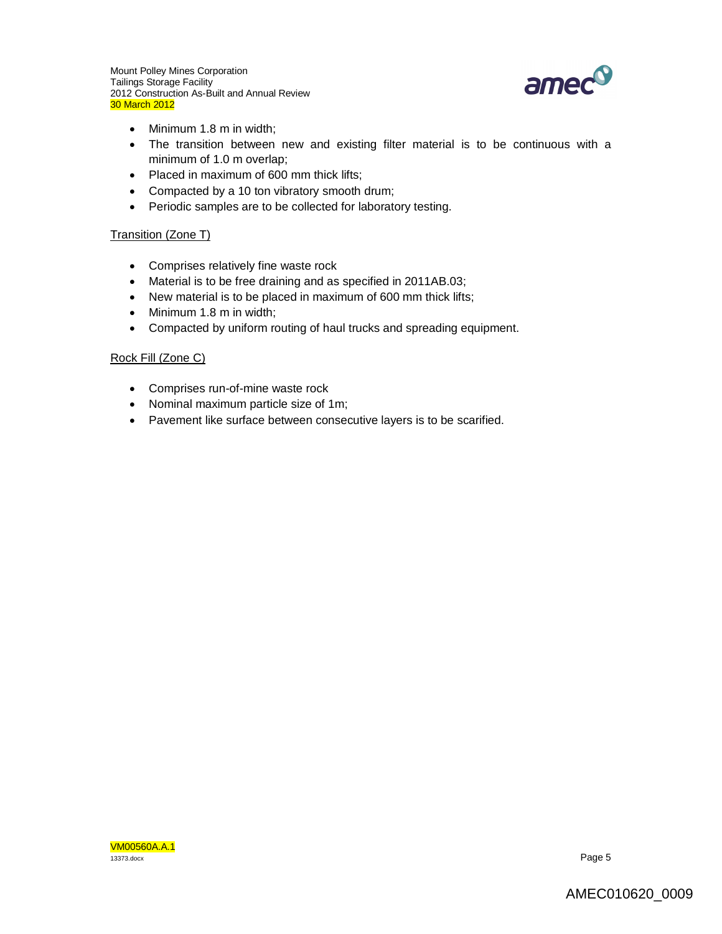

- Minimum 1.8 m in width;
- The transition between new and existing filter material is to be continuous with a minimum of 1.0 m overlap;
- Placed in maximum of 600 mm thick lifts;
- Compacted by a 10 ton vibratory smooth drum;
- Periodic samples are to be collected for laboratory testing.

### Transition (Zone T)

- Comprises relatively fine waste rock
- Material is to be free draining and as specified in 2011AB.03;
- New material is to be placed in maximum of 600 mm thick lifts;
- Minimum 1.8 m in width;
- Compacted by uniform routing of haul trucks and spreading equipment.

## Rock Fill (Zone C)

- Comprises run-of-mine waste rock
- Nominal maximum particle size of 1m;
- Pavement like surface between consecutive layers is to be scarified.

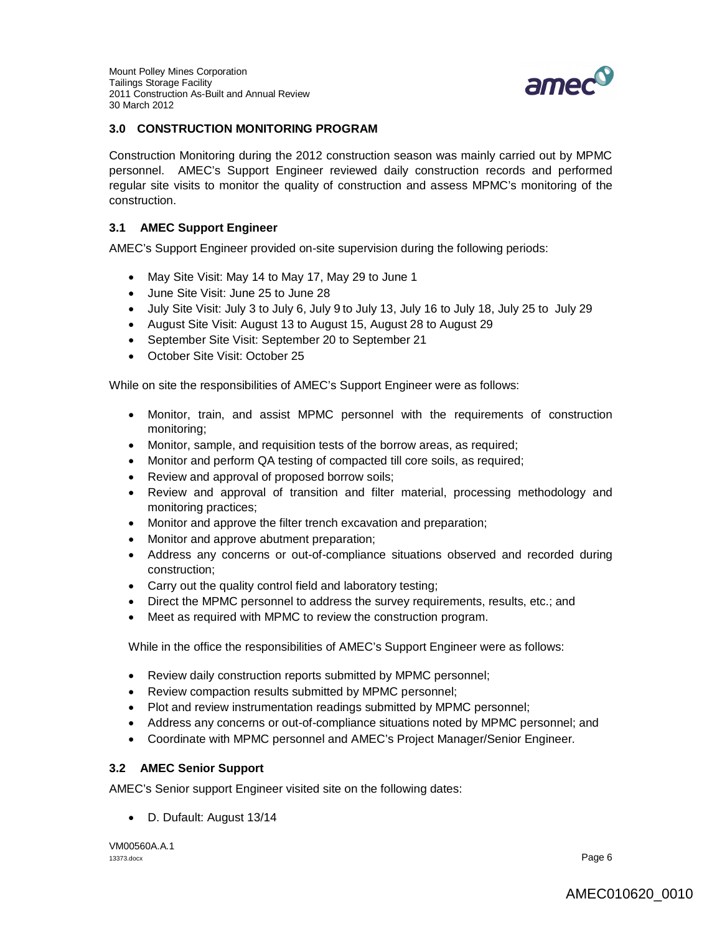

## **3.0 CONSTRUCTION MONITORING PROGRAM**

Construction Monitoring during the 2012 construction season was mainly carried out by MPMC personnel. AMEC's Support Engineer reviewed daily construction records and performed regular site visits to monitor the quality of construction and assess MPMC's monitoring of the construction.

## **3.1 AMEC Support Engineer**

AMEC's Support Engineer provided on-site supervision during the following periods:

- May Site Visit: May 14 to May 17, May 29 to June 1
- June Site Visit: June 25 to June 28
- July Site Visit: July 3 to July 6, July 9 to July 13, July 16 to July 18, July 25 to July 29
- August Site Visit: August 13 to August 15, August 28 to August 29
- September Site Visit: September 20 to September 21
- October Site Visit: October 25

While on site the responsibilities of AMEC's Support Engineer were as follows:

- Monitor, train, and assist MPMC personnel with the requirements of construction monitoring;
- Monitor, sample, and requisition tests of the borrow areas, as required;
- Monitor and perform QA testing of compacted till core soils, as required;
- Review and approval of proposed borrow soils;
- Review and approval of transition and filter material, processing methodology and monitoring practices;
- Monitor and approve the filter trench excavation and preparation;
- Monitor and approve abutment preparation;
- Address any concerns or out-of-compliance situations observed and recorded during construction;
- Carry out the quality control field and laboratory testing;
- Direct the MPMC personnel to address the survey requirements, results, etc.; and
- Meet as required with MPMC to review the construction program.

While in the office the responsibilities of AMEC's Support Engineer were as follows:

- Review daily construction reports submitted by MPMC personnel;
- Review compaction results submitted by MPMC personnel;
- Plot and review instrumentation readings submitted by MPMC personnel;
- Address any concerns or out-of-compliance situations noted by MPMC personnel; and
- Coordinate with MPMC personnel and AMEC's Project Manager/Senior Engineer.

## **3.2 AMEC Senior Support**

AMEC's Senior support Engineer visited site on the following dates:

D. Dufault: August 13/14

VM00560A.A.1 13373.docx Page 6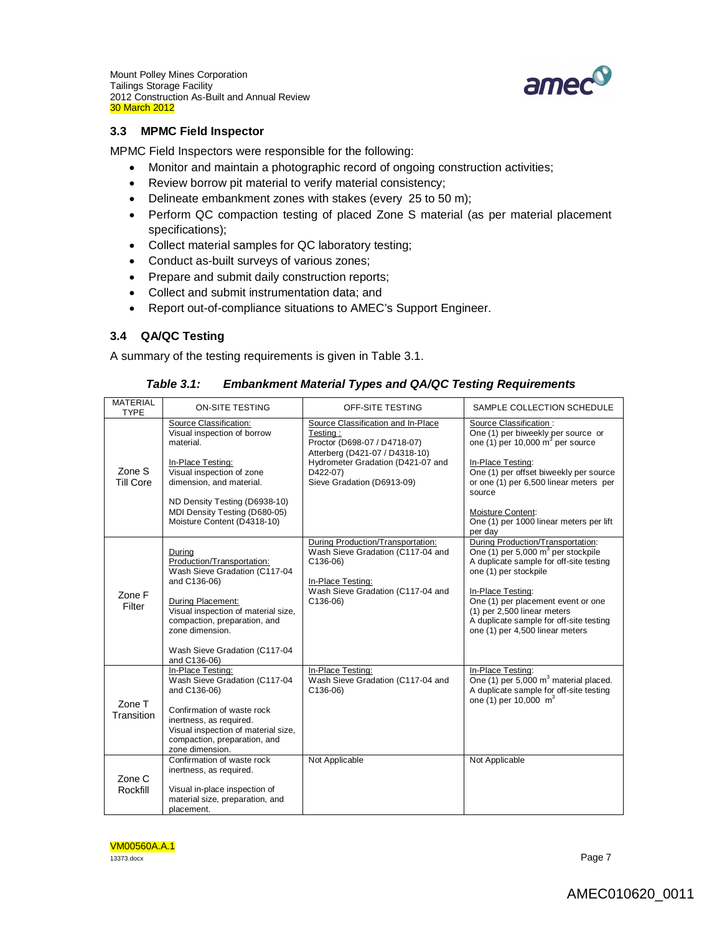Mount Polley Mines Corporation Tailings Storage Facility 2012 Construction As-Built and Annual Review 30 March 2012



### **3.3 MPMC Field Inspector**

MPMC Field Inspectors were responsible for the following:

- Monitor and maintain a photographic record of ongoing construction activities;
- Review borrow pit material to verify material consistency;
- Delineate embankment zones with stakes (every 25 to 50 m);
- Perform QC compaction testing of placed Zone S material (as per material placement specifications);
- Collect material samples for QC laboratory testing;
- Conduct as-built surveys of various zones;
- Prepare and submit daily construction reports;
- Collect and submit instrumentation data; and
- Report out-of-compliance situations to AMEC's Support Engineer.

## **3.4 QA/QC Testing**

A summary of the testing requirements is given in Table 3.1.

| <b>MATERIAL</b><br><b>TYPE</b> | <b>ON-SITE TESTING</b>                                                                                                                                                                                                                                | OFF-SITE TESTING                                                                                                                                                                                | SAMPLE COLLECTION SCHEDULE                                                                                                                                                                                                                                                                                             |
|--------------------------------|-------------------------------------------------------------------------------------------------------------------------------------------------------------------------------------------------------------------------------------------------------|-------------------------------------------------------------------------------------------------------------------------------------------------------------------------------------------------|------------------------------------------------------------------------------------------------------------------------------------------------------------------------------------------------------------------------------------------------------------------------------------------------------------------------|
| Zone S<br><b>Till Core</b>     | Source Classification:<br>Visual inspection of borrow<br>material.<br>In-Place Testing:<br>Visual inspection of zone<br>dimension, and material.<br>ND Density Testing (D6938-10)<br>MDI Density Testing (D680-05)<br>Moisture Content (D4318-10)     | Source Classification and In-Place<br>Testing:<br>Proctor (D698-07 / D4718-07)<br>Atterberg (D421-07 / D4318-10)<br>Hydrometer Gradation (D421-07 and<br>D422-07)<br>Sieve Gradation (D6913-09) | Source Classification :<br>One (1) per biweekly per source or<br>one (1) per 10,000 $m^3$ per source<br>In-Place Testing:<br>One (1) per offset biweekly per source<br>or one (1) per 6,500 linear meters per<br>source<br>Moisture Content:<br>One (1) per 1000 linear meters per lift<br>per day                     |
| Zone F<br>Filter               | During<br>Production/Transportation:<br>Wash Sieve Gradation (C117-04<br>and C136-06)<br>During Placement:<br>Visual inspection of material size,<br>compaction, preparation, and<br>zone dimension.<br>Wash Sieve Gradation (C117-04<br>and C136-06) | During Production/Transportation:<br>Wash Sieve Gradation (C117-04 and<br>$C136-06$<br>In-Place Testing:<br>Wash Sieve Gradation (C117-04 and<br>$C136-06$                                      | During Production/Transportation:<br>One (1) per 5,000 $m^3$ per stockpile<br>A duplicate sample for off-site testing<br>one (1) per stockpile<br>In-Place Testing:<br>One (1) per placement event or one<br>(1) per 2,500 linear meters<br>A duplicate sample for off-site testing<br>one (1) per 4,500 linear meters |
| Zone T<br>Transition           | In-Place Testing:<br>Wash Sieve Gradation (C117-04<br>and C136-06)<br>Confirmation of waste rock<br>inertness, as required.<br>Visual inspection of material size,<br>compaction, preparation, and<br>zone dimension.                                 | In-Place Testing:<br>Wash Sieve Gradation (C117-04 and<br>$C136-06$                                                                                                                             | In-Place Testing:<br>One (1) per 5,000 $m^3$ material placed.<br>A duplicate sample for off-site testing<br>one (1) per 10,000 $m^3$                                                                                                                                                                                   |
| Zone C<br>Rockfill             | Confirmation of waste rock<br>inertness, as required.<br>Visual in-place inspection of<br>material size, preparation, and<br>placement.                                                                                                               | Not Applicable                                                                                                                                                                                  | Not Applicable                                                                                                                                                                                                                                                                                                         |

## *Table 3.1: Embankment Material Types and QA/QC Testing Requirements*

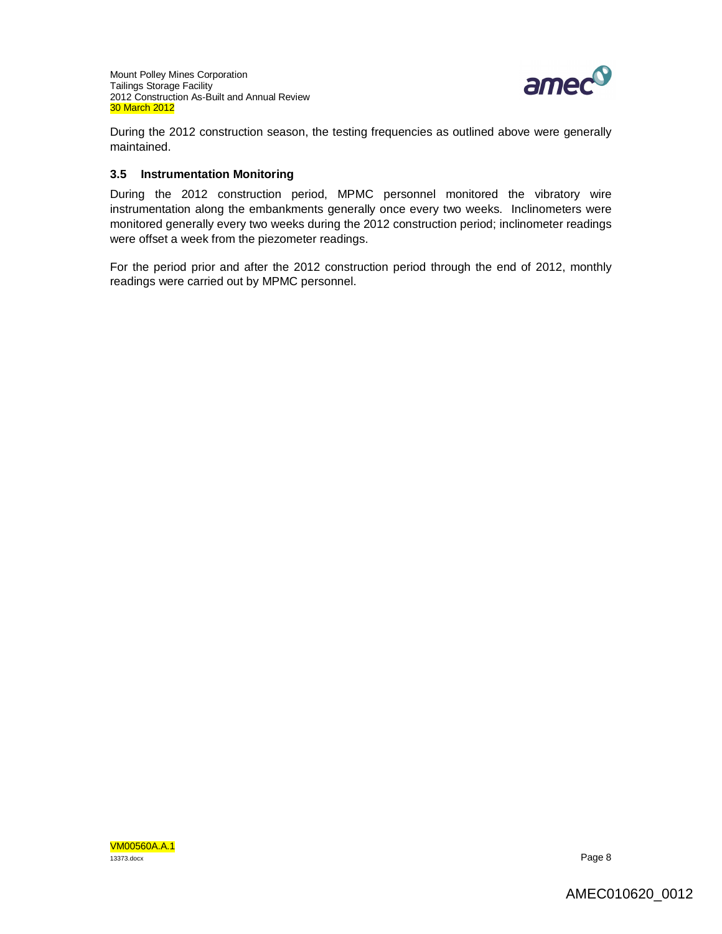

During the 2012 construction season, the testing frequencies as outlined above were generally maintained.

## **3.5 Instrumentation Monitoring**

During the 2012 construction period, MPMC personnel monitored the vibratory wire instrumentation along the embankments generally once every two weeks. Inclinometers were monitored generally every two weeks during the 2012 construction period; inclinometer readings were offset a week from the piezometer readings.

For the period prior and after the 2012 construction period through the end of 2012, monthly readings were carried out by MPMC personnel.

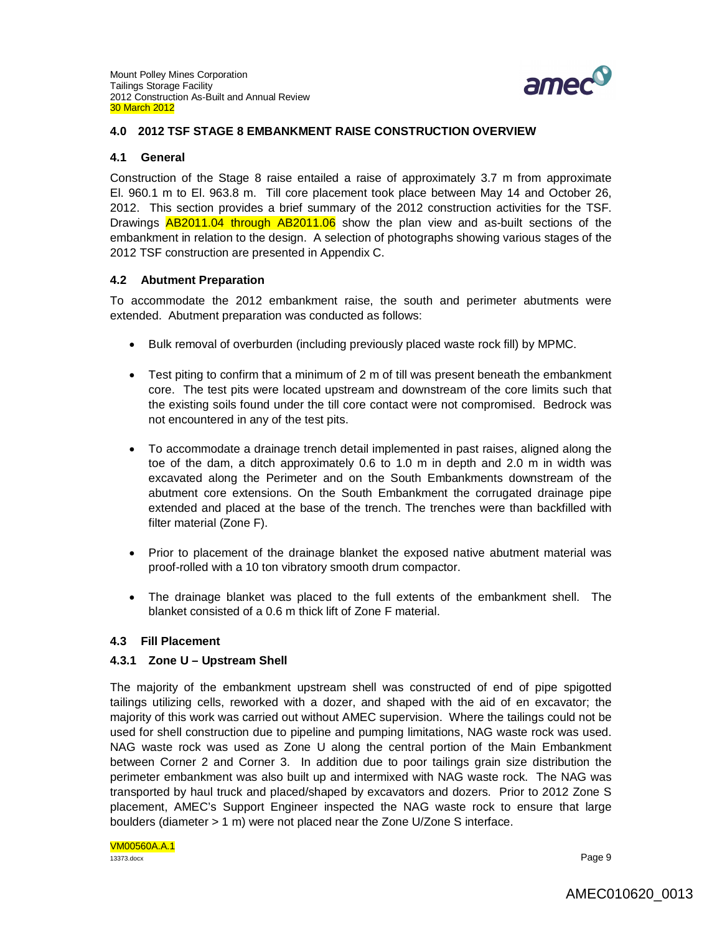

### **4.0 2012 TSF STAGE 8 EMBANKMENT RAISE CONSTRUCTION OVERVIEW**

#### **4.1 General**

Construction of the Stage 8 raise entailed a raise of approximately 3.7 m from approximate El. 960.1 m to El. 963.8 m. Till core placement took place between May 14 and October 26, 2012. This section provides a brief summary of the 2012 construction activities for the TSF. Drawings **AB2011.04 through AB2011.06** show the plan view and as-built sections of the embankment in relation to the design. A selection of photographs showing various stages of the 2012 TSF construction are presented in Appendix C.

### **4.2 Abutment Preparation**

To accommodate the 2012 embankment raise, the south and perimeter abutments were extended. Abutment preparation was conducted as follows:

- Bulk removal of overburden (including previously placed waste rock fill) by MPMC.
- Test piting to confirm that a minimum of 2 m of till was present beneath the embankment core. The test pits were located upstream and downstream of the core limits such that the existing soils found under the till core contact were not compromised. Bedrock was not encountered in any of the test pits.
- To accommodate a drainage trench detail implemented in past raises, aligned along the toe of the dam, a ditch approximately 0.6 to 1.0 m in depth and 2.0 m in width was excavated along the Perimeter and on the South Embankments downstream of the abutment core extensions. On the South Embankment the corrugated drainage pipe extended and placed at the base of the trench. The trenches were than backfilled with filter material (Zone F).
- Prior to placement of the drainage blanket the exposed native abutment material was proof-rolled with a 10 ton vibratory smooth drum compactor.
- The drainage blanket was placed to the full extents of the embankment shell. The blanket consisted of a 0.6 m thick lift of Zone F material.

### **4.3 Fill Placement**

### **4.3.1 Zone U – Upstream Shell**

The majority of the embankment upstream shell was constructed of end of pipe spigotted tailings utilizing cells, reworked with a dozer, and shaped with the aid of en excavator; the majority of this work was carried out without AMEC supervision. Where the tailings could not be used for shell construction due to pipeline and pumping limitations, NAG waste rock was used. NAG waste rock was used as Zone U along the central portion of the Main Embankment between Corner 2 and Corner 3. In addition due to poor tailings grain size distribution the perimeter embankment was also built up and intermixed with NAG waste rock. The NAG was transported by haul truck and placed/shaped by excavators and dozers. Prior to 2012 Zone S placement, AMEC's Support Engineer inspected the NAG waste rock to ensure that large boulders (diameter > 1 m) were not placed near the Zone U/Zone S interface.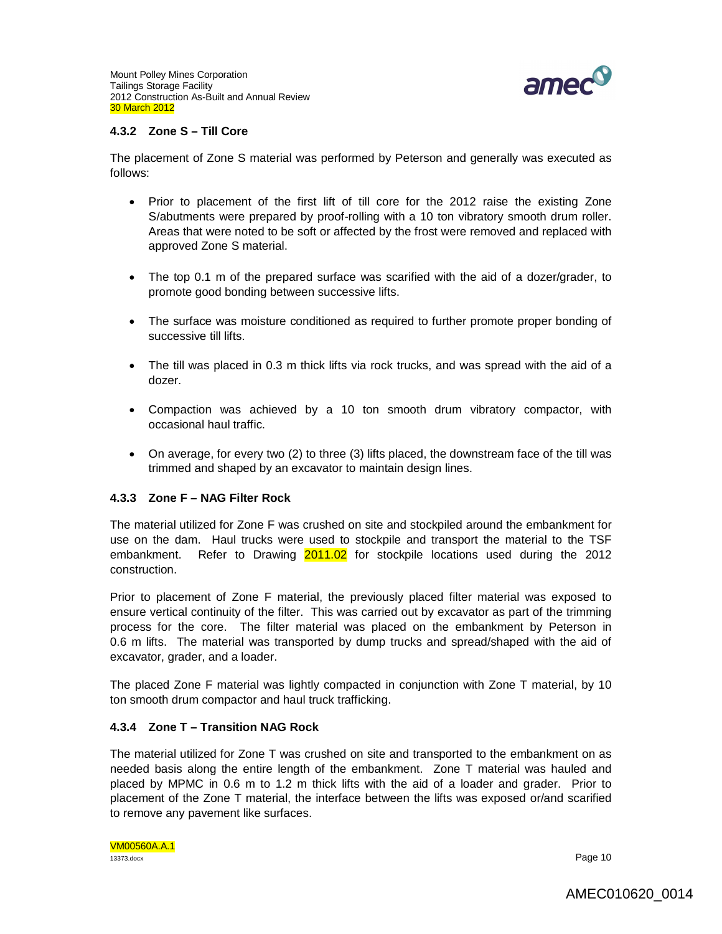

### **4.3.2 Zone S – Till Core**

The placement of Zone S material was performed by Peterson and generally was executed as follows:

- Prior to placement of the first lift of till core for the 2012 raise the existing Zone S/abutments were prepared by proof-rolling with a 10 ton vibratory smooth drum roller. Areas that were noted to be soft or affected by the frost were removed and replaced with approved Zone S material.
- The top 0.1 m of the prepared surface was scarified with the aid of a dozer/grader, to promote good bonding between successive lifts.
- The surface was moisture conditioned as required to further promote proper bonding of successive till lifts.
- The till was placed in 0.3 m thick lifts via rock trucks, and was spread with the aid of a dozer.
- Compaction was achieved by a 10 ton smooth drum vibratory compactor, with occasional haul traffic.
- On average, for every two (2) to three (3) lifts placed, the downstream face of the till was trimmed and shaped by an excavator to maintain design lines.

### **4.3.3 Zone F – NAG Filter Rock**

The material utilized for Zone F was crushed on site and stockpiled around the embankment for use on the dam. Haul trucks were used to stockpile and transport the material to the TSF embankment. Refer to Drawing 2011.02 for stockpile locations used during the 2012 construction.

Prior to placement of Zone F material, the previously placed filter material was exposed to ensure vertical continuity of the filter. This was carried out by excavator as part of the trimming process for the core. The filter material was placed on the embankment by Peterson in 0.6 m lifts. The material was transported by dump trucks and spread/shaped with the aid of excavator, grader, and a loader.

The placed Zone F material was lightly compacted in conjunction with Zone T material, by 10 ton smooth drum compactor and haul truck trafficking.

## **4.3.4 Zone T – Transition NAG Rock**

The material utilized for Zone T was crushed on site and transported to the embankment on as needed basis along the entire length of the embankment. Zone T material was hauled and placed by MPMC in 0.6 m to 1.2 m thick lifts with the aid of a loader and grader. Prior to placement of the Zone T material, the interface between the lifts was exposed or/and scarified to remove any pavement like surfaces.

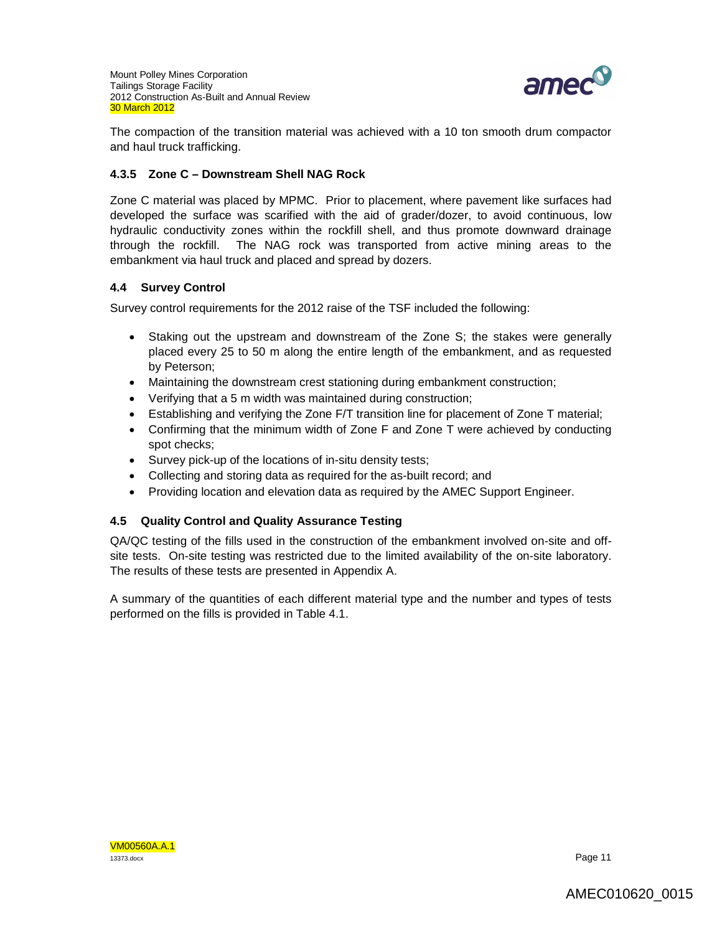

The compaction of the transition material was achieved with a 10 ton smooth drum compactor and haul truck trafficking.

## **4.3.5 Zone C – Downstream Shell NAG Rock**

Zone C material was placed by MPMC. Prior to placement, where pavement like surfaces had developed the surface was scarified with the aid of grader/dozer, to avoid continuous, low hydraulic conductivity zones within the rockfill shell, and thus promote downward drainage through the rockfill. The NAG rock was transported from active mining areas to the embankment via haul truck and placed and spread by dozers.

## **4.4 Survey Control**

Survey control requirements for the 2012 raise of the TSF included the following:

- Staking out the upstream and downstream of the Zone S; the stakes were generally placed every 25 to 50 m along the entire length of the embankment, and as requested by Peterson;
- Maintaining the downstream crest stationing during embankment construction;
- Verifying that a 5 m width was maintained during construction;
- Establishing and verifying the Zone F/T transition line for placement of Zone T material;
- Confirming that the minimum width of Zone F and Zone T were achieved by conducting spot checks;
- Survey pick-up of the locations of in-situ density tests;
- Collecting and storing data as required for the as-built record; and
- Providing location and elevation data as required by the AMEC Support Engineer.

## **4.5 Quality Control and Quality Assurance Testing**

QA/QC testing of the fills used in the construction of the embankment involved on-site and offsite tests. On-site testing was restricted due to the limited availability of the on-site laboratory. The results of these tests are presented in Appendix A.

A summary of the quantities of each different material type and the number and types of tests performed on the fills is provided in Table 4.1.

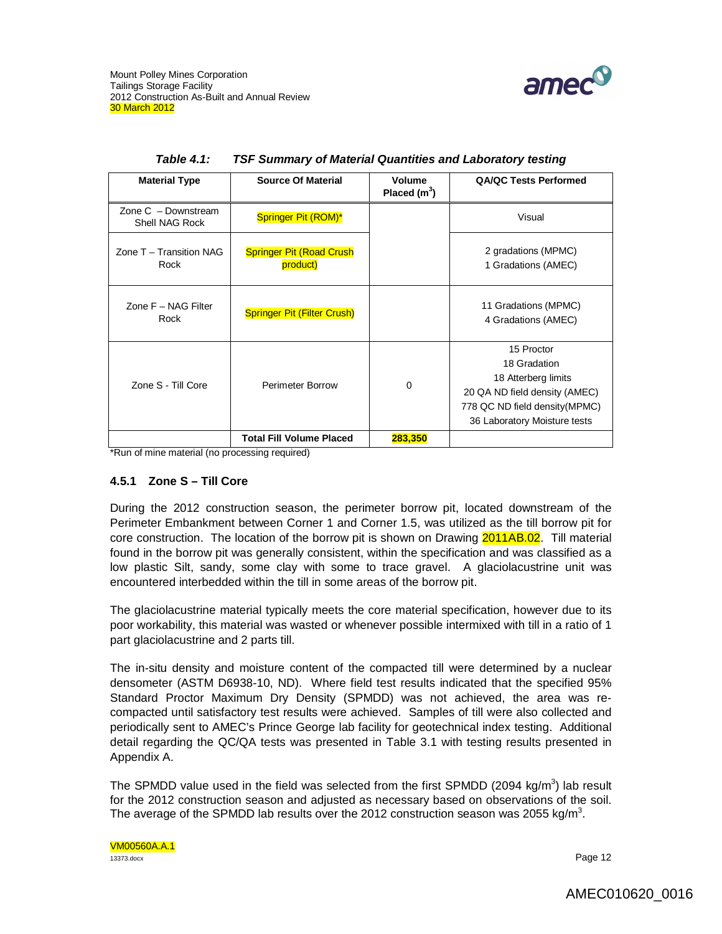

| <b>Material Type</b>                    | <b>Source Of Material</b>                   | Volume<br>Placed $(m^3)$ | <b>QA/QC Tests Performed</b>                                                                                                                         |
|-----------------------------------------|---------------------------------------------|--------------------------|------------------------------------------------------------------------------------------------------------------------------------------------------|
| Zone $C -$ Downstream<br>Shell NAG Rock | Springer Pit (ROM)*                         |                          | Visual                                                                                                                                               |
| Zone T - Transition NAG<br>Rock         | <b>Springer Pit (Road Crush</b><br>product) |                          | 2 gradations (MPMC)<br>1 Gradations (AMEC)                                                                                                           |
| Zone F - NAG Filter<br>Rock             | <b>Springer Pit (Filter Crush)</b>          |                          | 11 Gradations (MPMC)<br>4 Gradations (AMEC)                                                                                                          |
| Zone S - Till Core                      | Perimeter Borrow                            | 0                        | 15 Proctor<br>18 Gradation<br>18 Atterberg limits<br>20 QA ND field density (AMEC)<br>778 QC ND field density (MPMC)<br>36 Laboratory Moisture tests |
|                                         | <b>Total Fill Volume Placed</b>             | 283,350                  |                                                                                                                                                      |

| <b>Table 4.1:</b> | TSF Summary of Material Quantities and Laboratory testing |  |  |  |  |  |
|-------------------|-----------------------------------------------------------|--|--|--|--|--|
|-------------------|-----------------------------------------------------------|--|--|--|--|--|

\*Run of mine material (no processing required)

### **4.5.1 Zone S – Till Core**

During the 2012 construction season, the perimeter borrow pit, located downstream of the Perimeter Embankment between Corner 1 and Corner 1.5, was utilized as the till borrow pit for core construction. The location of the borrow pit is shown on Drawing 2011AB.02. Till material found in the borrow pit was generally consistent, within the specification and was classified as a low plastic Silt, sandy, some clay with some to trace gravel. A glaciolacustrine unit was encountered interbedded within the till in some areas of the borrow pit.

The glaciolacustrine material typically meets the core material specification, however due to its poor workability, this material was wasted or whenever possible intermixed with till in a ratio of 1 part glaciolacustrine and 2 parts till.

The in-situ density and moisture content of the compacted till were determined by a nuclear densometer (ASTM D6938-10, ND). Where field test results indicated that the specified 95% Standard Proctor Maximum Dry Density (SPMDD) was not achieved, the area was recompacted until satisfactory test results were achieved. Samples of till were also collected and periodically sent to AMEC's Prince George lab facility for geotechnical index testing. Additional detail regarding the QC/QA tests was presented in Table 3.1 with testing results presented in Appendix A.

The SPMDD value used in the field was selected from the first SPMDD (2094 kg/m<sup>3</sup>) lab result for the 2012 construction season and adjusted as necessary based on observations of the soil. The average of the SPMDD lab results over the 2012 construction season was 2055 kg/m<sup>3</sup>.

VM00560A.A.1 13373.docx **Page 12**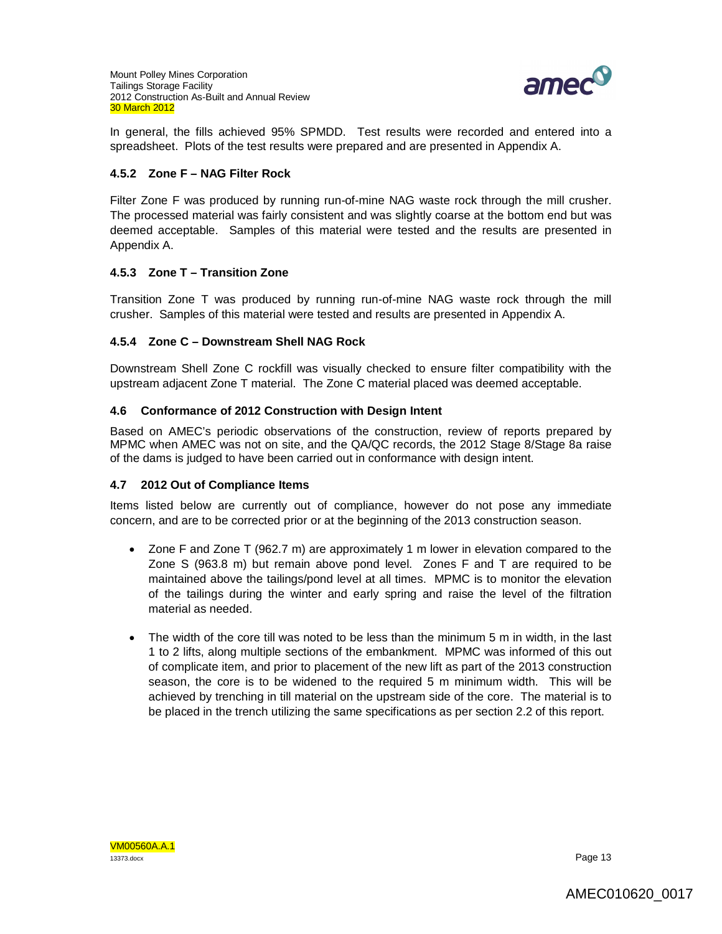

In general, the fills achieved 95% SPMDD. Test results were recorded and entered into a spreadsheet. Plots of the test results were prepared and are presented in Appendix A.

## **4.5.2 Zone F – NAG Filter Rock**

Filter Zone F was produced by running run-of-mine NAG waste rock through the mill crusher. The processed material was fairly consistent and was slightly coarse at the bottom end but was deemed acceptable. Samples of this material were tested and the results are presented in Appendix A.

## **4.5.3 Zone T – Transition Zone**

Transition Zone T was produced by running run-of-mine NAG waste rock through the mill crusher. Samples of this material were tested and results are presented in Appendix A.

## **4.5.4 Zone C – Downstream Shell NAG Rock**

Downstream Shell Zone C rockfill was visually checked to ensure filter compatibility with the upstream adjacent Zone T material. The Zone C material placed was deemed acceptable.

## **4.6 Conformance of 2012 Construction with Design Intent**

Based on AMEC's periodic observations of the construction, review of reports prepared by MPMC when AMEC was not on site, and the QA/QC records, the 2012 Stage 8/Stage 8a raise of the dams is judged to have been carried out in conformance with design intent.

### **4.7 2012 Out of Compliance Items**

Items listed below are currently out of compliance, however do not pose any immediate concern, and are to be corrected prior or at the beginning of the 2013 construction season.

- Zone F and Zone T (962.7 m) are approximately 1 m lower in elevation compared to the Zone S (963.8 m) but remain above pond level. Zones F and T are required to be maintained above the tailings/pond level at all times. MPMC is to monitor the elevation of the tailings during the winter and early spring and raise the level of the filtration material as needed.
- The width of the core till was noted to be less than the minimum 5 m in width, in the last 1 to 2 lifts, along multiple sections of the embankment. MPMC was informed of this out of complicate item, and prior to placement of the new lift as part of the 2013 construction season, the core is to be widened to the required 5 m minimum width. This will be achieved by trenching in till material on the upstream side of the core. The material is to be placed in the trench utilizing the same specifications as per section 2.2 of this report.

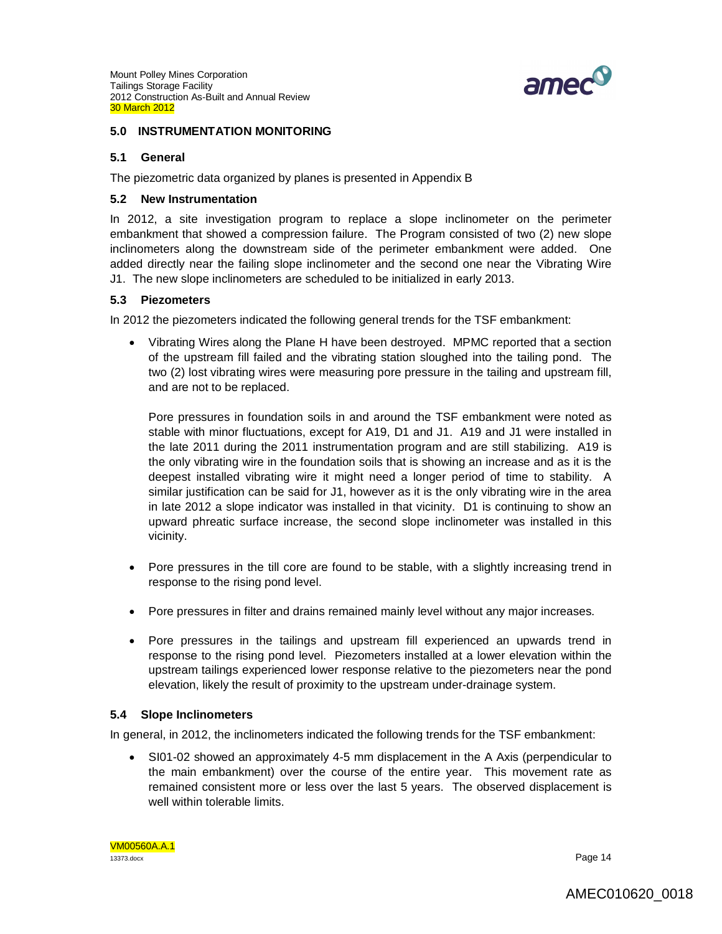

### **5.0 INSTRUMENTATION MONITORING**

### **5.1 General**

The piezometric data organized by planes is presented in Appendix B

#### **5.2 New Instrumentation**

In 2012, a site investigation program to replace a slope inclinometer on the perimeter embankment that showed a compression failure. The Program consisted of two (2) new slope inclinometers along the downstream side of the perimeter embankment were added. One added directly near the failing slope inclinometer and the second one near the Vibrating Wire J1. The new slope inclinometers are scheduled to be initialized in early 2013.

### **5.3 Piezometers**

In 2012 the piezometers indicated the following general trends for the TSF embankment:

 Vibrating Wires along the Plane H have been destroyed. MPMC reported that a section of the upstream fill failed and the vibrating station sloughed into the tailing pond. The two (2) lost vibrating wires were measuring pore pressure in the tailing and upstream fill, and are not to be replaced.

Pore pressures in foundation soils in and around the TSF embankment were noted as stable with minor fluctuations, except for A19, D1 and J1. A19 and J1 were installed in the late 2011 during the 2011 instrumentation program and are still stabilizing. A19 is the only vibrating wire in the foundation soils that is showing an increase and as it is the deepest installed vibrating wire it might need a longer period of time to stability. A similar justification can be said for J1, however as it is the only vibrating wire in the area in late 2012 a slope indicator was installed in that vicinity. D1 is continuing to show an upward phreatic surface increase, the second slope inclinometer was installed in this vicinity.

- Pore pressures in the till core are found to be stable, with a slightly increasing trend in response to the rising pond level.
- Pore pressures in filter and drains remained mainly level without any major increases.
- Pore pressures in the tailings and upstream fill experienced an upwards trend in response to the rising pond level. Piezometers installed at a lower elevation within the upstream tailings experienced lower response relative to the piezometers near the pond elevation, likely the result of proximity to the upstream under-drainage system.

### **5.4 Slope Inclinometers**

In general, in 2012, the inclinometers indicated the following trends for the TSF embankment:

 SI01-02 showed an approximately 4-5 mm displacement in the A Axis (perpendicular to the main embankment) over the course of the entire year. This movement rate as remained consistent more or less over the last 5 years. The observed displacement is well within tolerable limits.

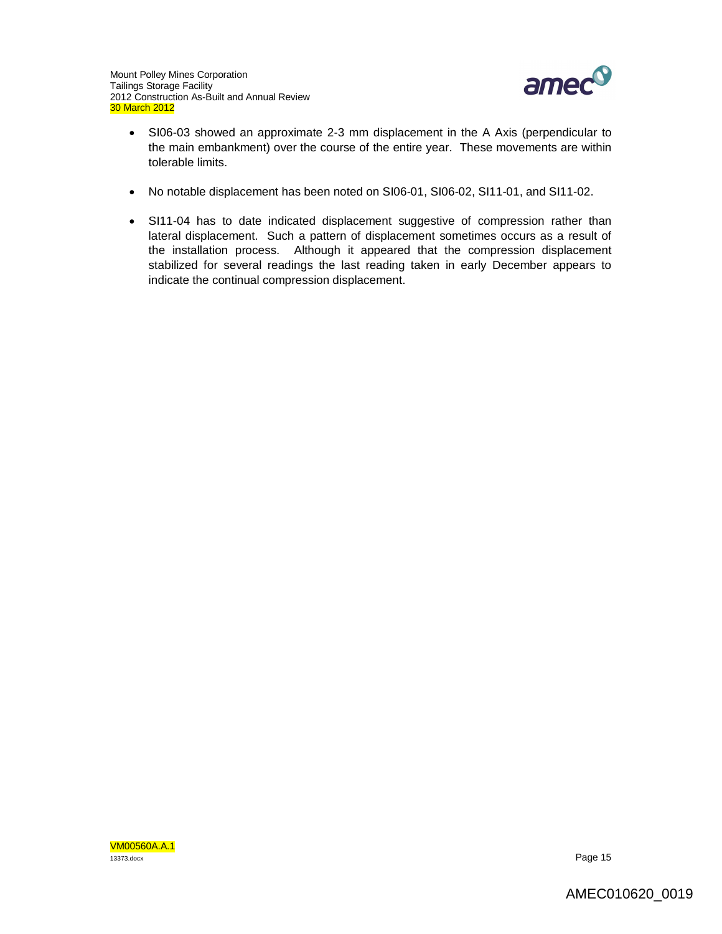

- SI06-03 showed an approximate 2-3 mm displacement in the A Axis (perpendicular to the main embankment) over the course of the entire year. These movements are within tolerable limits.
- No notable displacement has been noted on SI06-01, SI06-02, SI11-01, and SI11-02.
- SI11-04 has to date indicated displacement suggestive of compression rather than lateral displacement. Such a pattern of displacement sometimes occurs as a result of the installation process. Although it appeared that the compression displacement stabilized for several readings the last reading taken in early December appears to indicate the continual compression displacement.

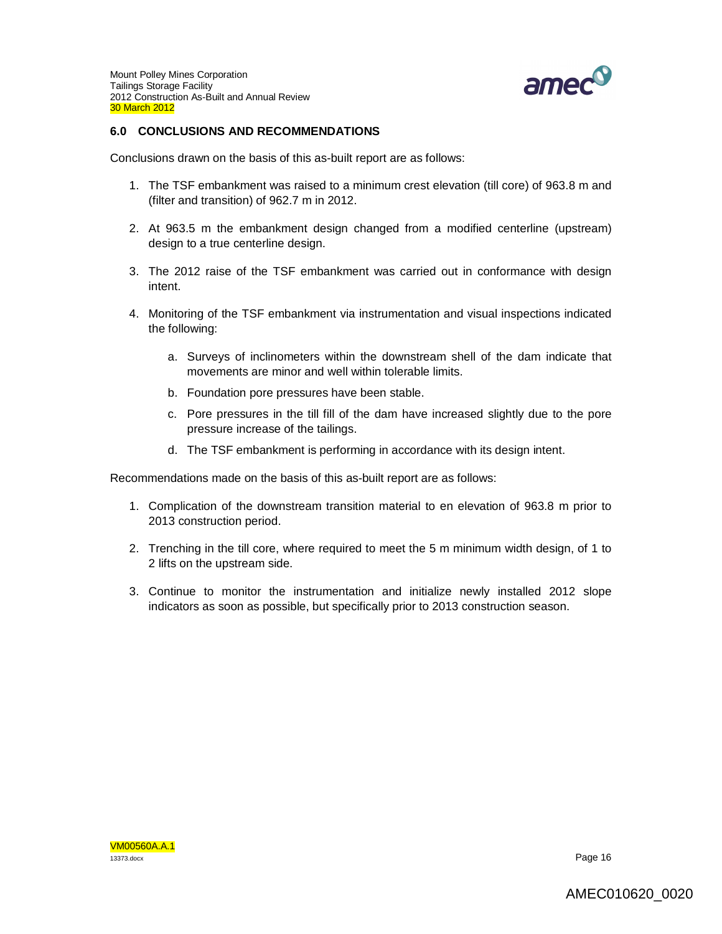

## **6.0 CONCLUSIONS AND RECOMMENDATIONS**

Conclusions drawn on the basis of this as-built report are as follows:

- 1. The TSF embankment was raised to a minimum crest elevation (till core) of 963.8 m and (filter and transition) of 962.7 m in 2012.
- 2. At 963.5 m the embankment design changed from a modified centerline (upstream) design to a true centerline design.
- 3. The 2012 raise of the TSF embankment was carried out in conformance with design intent.
- 4. Monitoring of the TSF embankment via instrumentation and visual inspections indicated the following:
	- a. Surveys of inclinometers within the downstream shell of the dam indicate that movements are minor and well within tolerable limits.
	- b. Foundation pore pressures have been stable.
	- c. Pore pressures in the till fill of the dam have increased slightly due to the pore pressure increase of the tailings.
	- d. The TSF embankment is performing in accordance with its design intent.

Recommendations made on the basis of this as-built report are as follows:

- 1. Complication of the downstream transition material to en elevation of 963.8 m prior to 2013 construction period.
- 2. Trenching in the till core, where required to meet the 5 m minimum width design, of 1 to 2 lifts on the upstream side.
- 3. Continue to monitor the instrumentation and initialize newly installed 2012 slope indicators as soon as possible, but specifically prior to 2013 construction season.

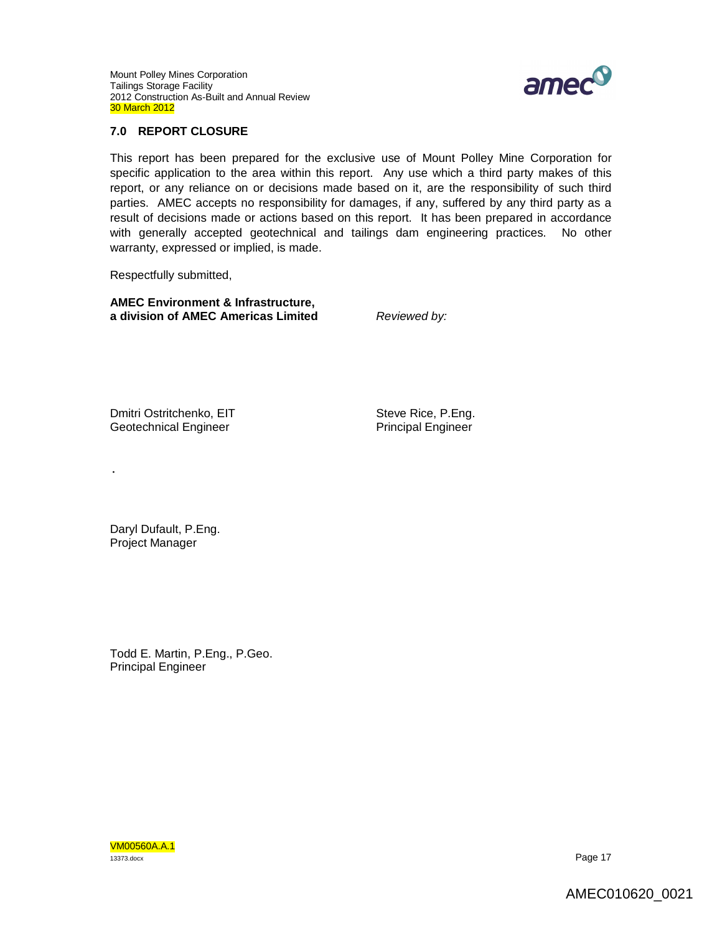

### **7.0 REPORT CLOSURE**

This report has been prepared for the exclusive use of Mount Polley Mine Corporation for specific application to the area within this report. Any use which a third party makes of this report, or any reliance on or decisions made based on it, are the responsibility of such third parties. AMEC accepts no responsibility for damages, if any, suffered by any third party as a result of decisions made or actions based on this report. It has been prepared in accordance with generally accepted geotechnical and tailings dam engineering practices. No other warranty, expressed or implied, is made.

Respectfully submitted,

**AMEC Environment & Infrastructure, a division of AMEC Americas Limited** *Reviewed by:*

Dmitri Ostritchenko, EIT Geotechnical Engineer

Steve Rice, P.Eng. Principal Engineer

Daryl Dufault, P.Eng. Project Manager

.

Todd E. Martin, P.Eng., P.Geo. Principal Engineer

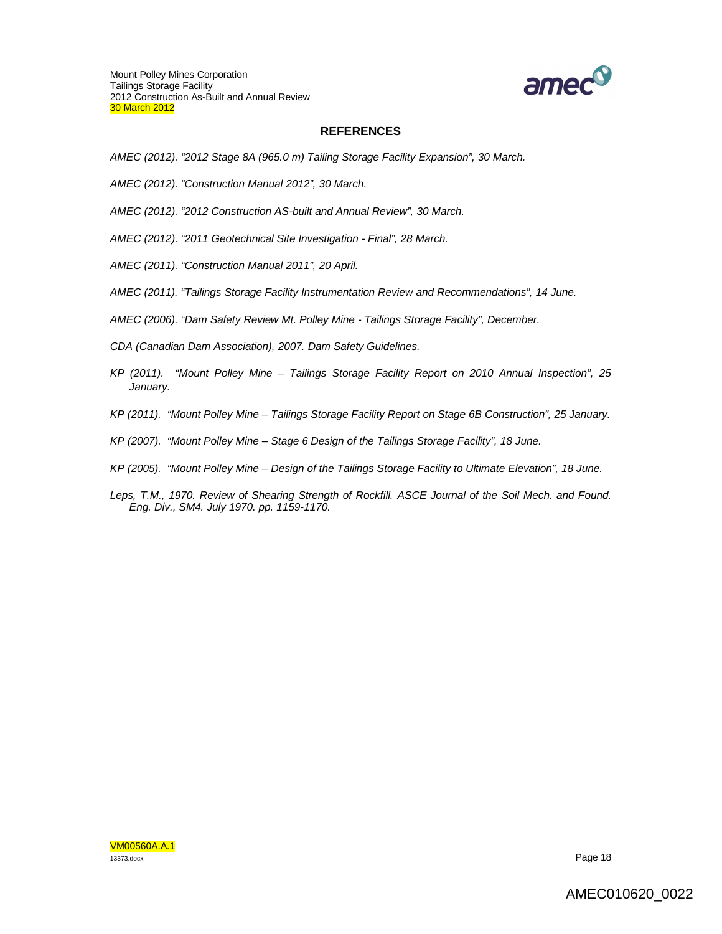

### **REFERENCES**

- *AMEC (2012). "2012 Stage 8A (965.0 m) Tailing Storage Facility Expansion", 30 March.*
- *AMEC (2012). "Construction Manual 2012", 30 March.*
- *AMEC (2012). "2012 Construction AS-built and Annual Review", 30 March.*
- *AMEC (2012). "2011 Geotechnical Site Investigation - Final", 28 March.*
- *AMEC (2011). "Construction Manual 2011", 20 April.*
- *AMEC (2011). "Tailings Storage Facility Instrumentation Review and Recommendations", 14 June.*
- *AMEC (2006). "Dam Safety Review Mt. Polley Mine - Tailings Storage Facility", December.*
- *CDA (Canadian Dam Association), 2007. Dam Safety Guidelines.*
- *KP (2011). "Mount Polley Mine – Tailings Storage Facility Report on 2010 Annual Inspection", 25 January.*
- *KP (2011). "Mount Polley Mine – Tailings Storage Facility Report on Stage 6B Construction", 25 January.*
- *KP (2007). "Mount Polley Mine – Stage 6 Design of the Tailings Storage Facility", 18 June.*
- *KP (2005). "Mount Polley Mine – Design of the Tailings Storage Facility to Ultimate Elevation", 18 June.*
- Leps, T.M., 1970. Review of Shearing Strength of Rockfill. ASCE Journal of the Soil Mech. and Found. *Eng. Div., SM4. July 1970. pp. 1159-1170.*

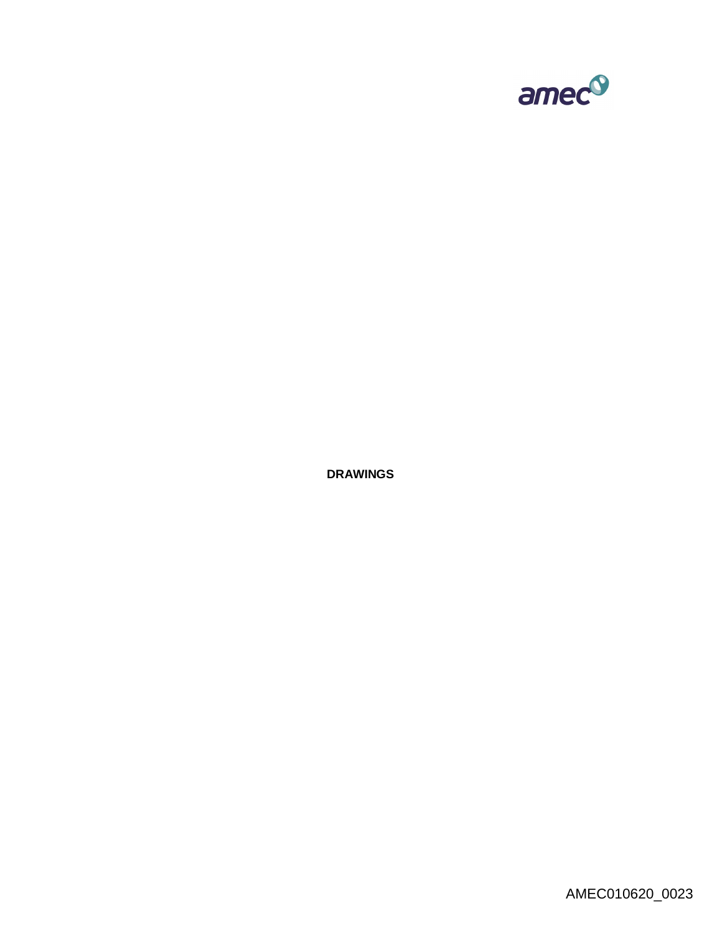

**DRAWINGS**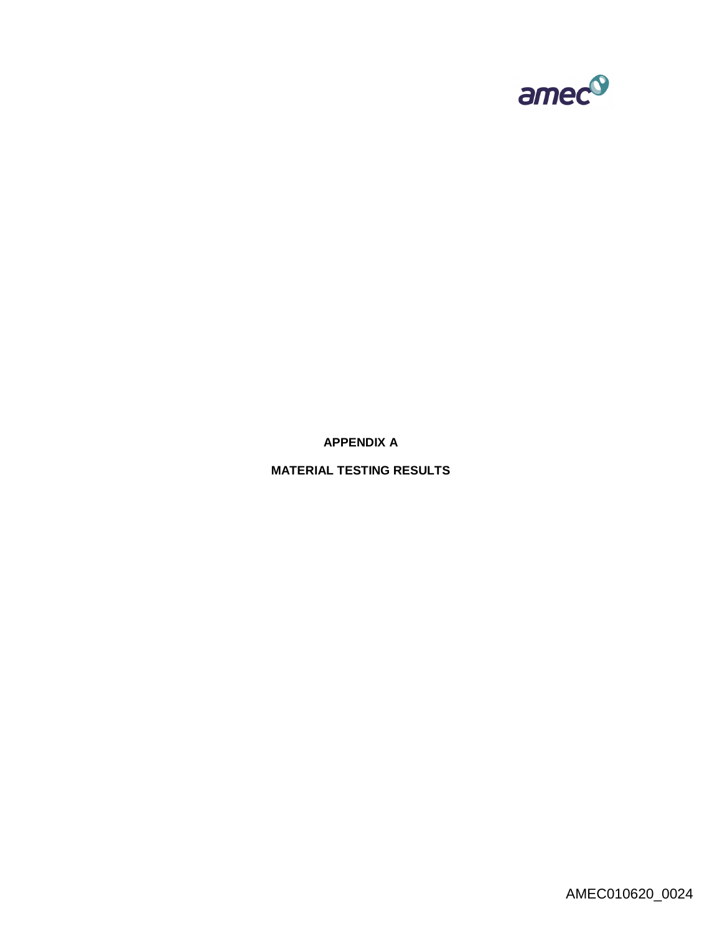

**APPENDIX A**

**MATERIAL TESTING RESULTS**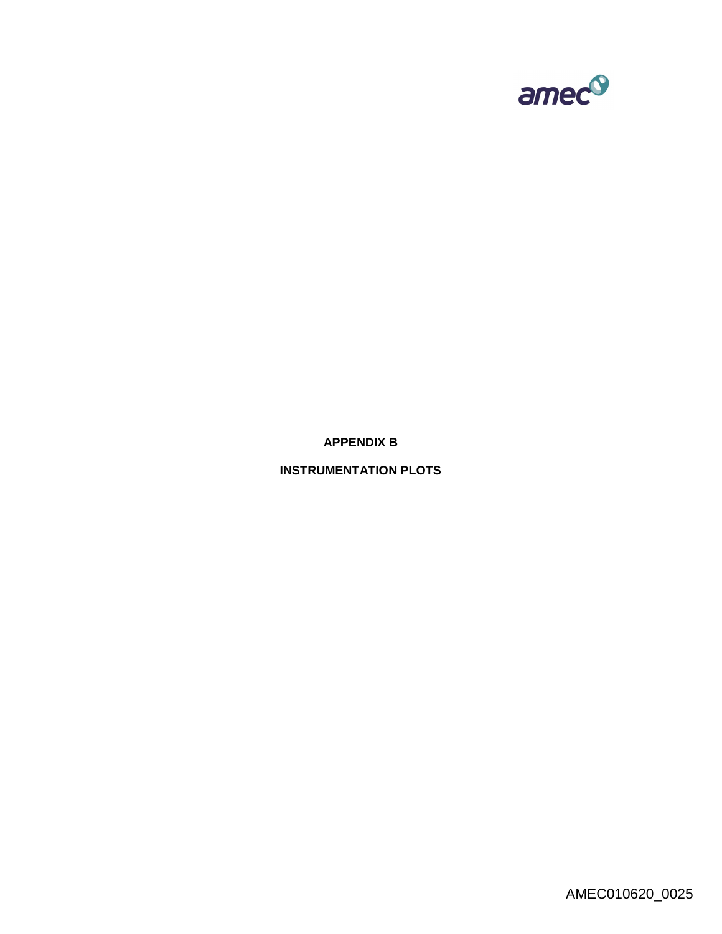

**APPENDIX B**

**INSTRUMENTATION PLOTS**